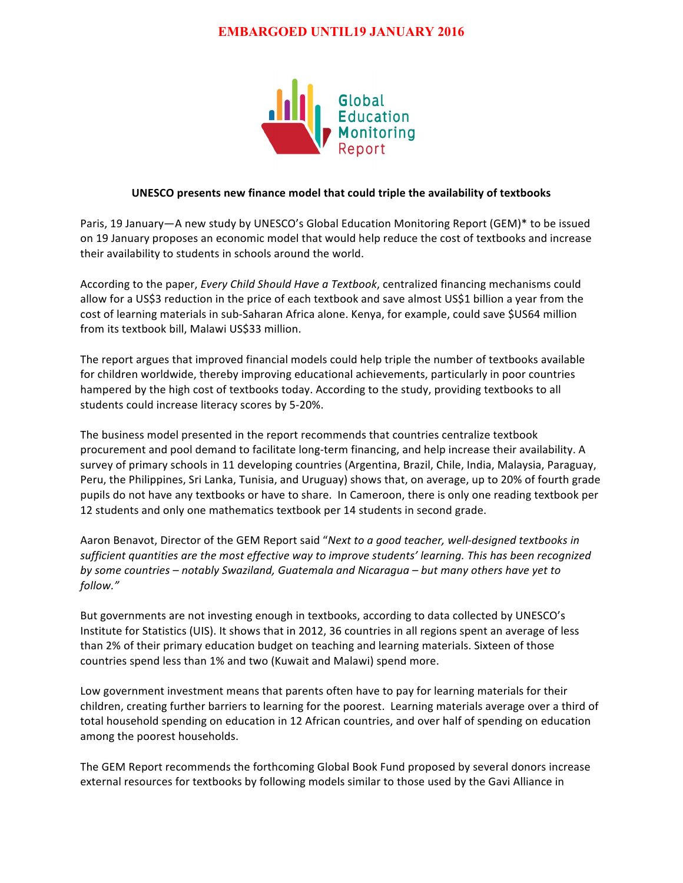# **EMBARGOED UNTIL19 JANUARY 2016**



#### **UNESCO presents new finance model that could triple the availability of textbooks**

Paris, 19 January—A new study by UNESCO's Global Education Monitoring Report (GEM)\* to be issued on 19 January proposes an economic model that would help reduce the cost of textbooks and increase their availability to students in schools around the world.

According to the paper, *Every Child Should Have a Textbook*, centralized financing mechanisms could allow for a US\$3 reduction in the price of each textbook and save almost US\$1 billion a year from the cost of learning materials in sub-Saharan Africa alone. Kenya, for example, could save \$US64 million from its textbook bill, Malawi US\$33 million.

The report argues that improved financial models could help triple the number of textbooks available for children worldwide, thereby improving educational achievements, particularly in poor countries hampered by the high cost of textbooks today. According to the study, providing textbooks to all students could increase literacy scores by 5-20%.

The business model presented in the report recommends that countries centralize textbook procurement and pool demand to facilitate long-term financing, and help increase their availability. A survey of primary schools in 11 developing countries (Argentina, Brazil, Chile, India, Malaysia, Paraguay, Peru, the Philippines, Sri Lanka, Tunisia, and Uruguay) shows that, on average, up to 20% of fourth grade pupils do not have any textbooks or have to share. In Cameroon, there is only one reading textbook per 12 students and only one mathematics textbook per 14 students in second grade.

Aaron Benavot, Director of the GEM Report said "Next to a good teacher, well-designed textbooks in sufficient quantities are the most effective way to improve students' learning. This has been recognized *by* some countries – notably Swaziland, Guatemala and Nicaragua – but many others have yet to *follow."*

But governments are not investing enough in textbooks, according to data collected by UNESCO's Institute for Statistics (UIS). It shows that in 2012, 36 countries in all regions spent an average of less than 2% of their primary education budget on teaching and learning materials. Sixteen of those countries spend less than 1% and two (Kuwait and Malawi) spend more.

Low government investment means that parents often have to pay for learning materials for their children, creating further barriers to learning for the poorest. Learning materials average over a third of total household spending on education in 12 African countries, and over half of spending on education among the poorest households.

The GEM Report recommends the forthcoming Global Book Fund proposed by several donors increase external resources for textbooks by following models similar to those used by the Gavi Alliance in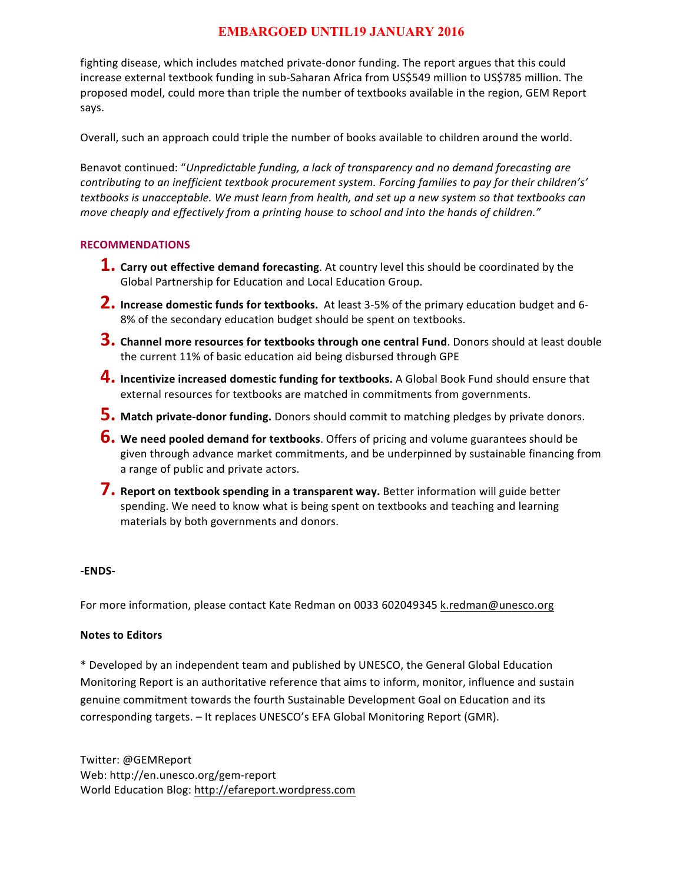# **EMBARGOED UNTIL19 JANUARY 2016**

fighting disease, which includes matched private-donor funding. The report argues that this could increase external textbook funding in sub-Saharan Africa from US\$549 million to US\$785 million. The proposed model, could more than triple the number of textbooks available in the region, GEM Report says.

Overall, such an approach could triple the number of books available to children around the world.

Benavot continued: "*Unpredictable funding, a lack of transparency and no demand forecasting are contributing to an inefficient textbook procurement system. Forcing families to pay for their children's'* textbooks is unacceptable. We must learn from health, and set up a new system so that textbooks can *move cheaply and effectively from a printing house to school and into the hands of children."*

#### **RECOMMENDATIONS**

- **1. Carry out effective demand forecasting**. At country level this should be coordinated by the Global Partnership for Education and Local Education Group.
- **2. Increase domestic funds for textbooks.** At least 3-5% of the primary education budget and 6- 8% of the secondary education budget should be spent on textbooks.
- **3. Channel more resources for textbooks through one central Fund**. Donors should at least double the current 11% of basic education aid being disbursed through GPE
- **4. Incentivize increased domestic funding for textbooks.** <sup>A</sup> Global Book Fund should ensure that external resources for textbooks are matched in commitments from governments.
- **5. Match private-donor funding.** Donors should commit to matching pledges by private donors.
- **6. We need pooled demand for textbooks**. Offers of pricing and volume guarantees should be given through advance market commitments, and be underpinned by sustainable financing from a range of public and private actors.
- **7. Report on textbook spending in <sup>a</sup> transparent way.** Better information will guide better spending. We need to know what is being spent on textbooks and teaching and learning materials by both governments and donors.

### **-ENDS-**

For more information, please contact Kate Redman on 0033 602049345 k.redman@unesco.org 

### **Notes to Editors**

\* Developed by an independent team and published by UNESCO, the General Global Education Monitoring Report is an authoritative reference that aims to inform, monitor, influence and sustain genuine commitment towards the fourth Sustainable Development Goal on Education and its corresponding targets. – It replaces UNESCO's EFA Global Monitoring Report (GMR).

Twitter: @GEMReport Web: http://en.unesco.org/gem-report World Education Blog: http://efareport.wordpress.com